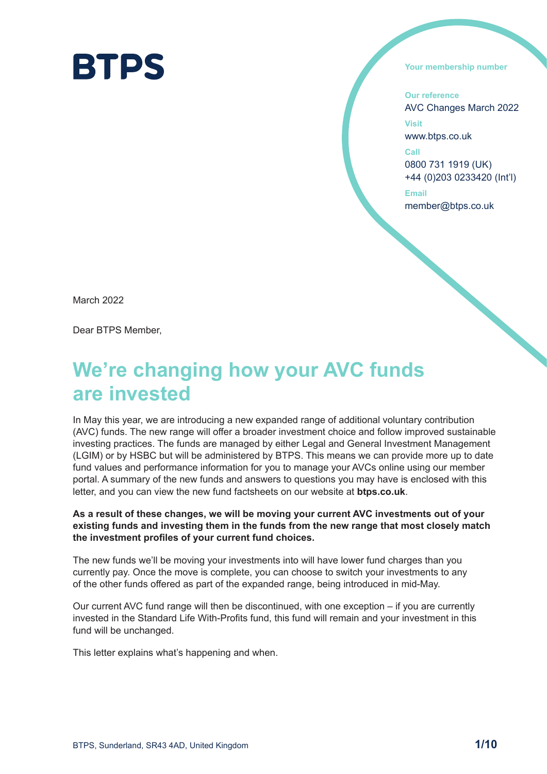

**Your membership number**

**Our reference** AVC Changes March 2022

**Visit** www.btps.co.uk

**Call** 0800 731 1919 (UK) +44 (0)203 0233420 (Int'l)

**Email** member@btps.co.uk

March 2022

Dear BTPS Member,

# **We're changing how your AVC funds are invested**

In May this year, we are introducing a new expanded range of additional voluntary contribution (AVC) funds. The new range will offer a broader investment choice and follow improved sustainable investing practices. The funds are managed by either Legal and General Investment Management (LGIM) or by HSBC but will be administered by BTPS. This means we can provide more up to date fund values and performance information for you to manage your AVCs online using our member portal. A summary of the new funds and answers to questions you may have is enclosed with this letter, and you can view the new fund factsheets on our website at **btps.co.uk**.

**As a result of these changes, we will be moving your current AVC investments out of your existing funds and investing them in the funds from the new range that most closely match the investment profiles of your current fund choices.** 

The new funds we'll be moving your investments into will have lower fund charges than you currently pay. Once the move is complete, you can choose to switch your investments to any of the other funds offered as part of the expanded range, being introduced in mid-May.

Our current AVC fund range will then be discontinued, with one exception – if you are currently invested in the Standard Life With-Profits fund, this fund will remain and your investment in this fund will be unchanged.

This letter explains what's happening and when.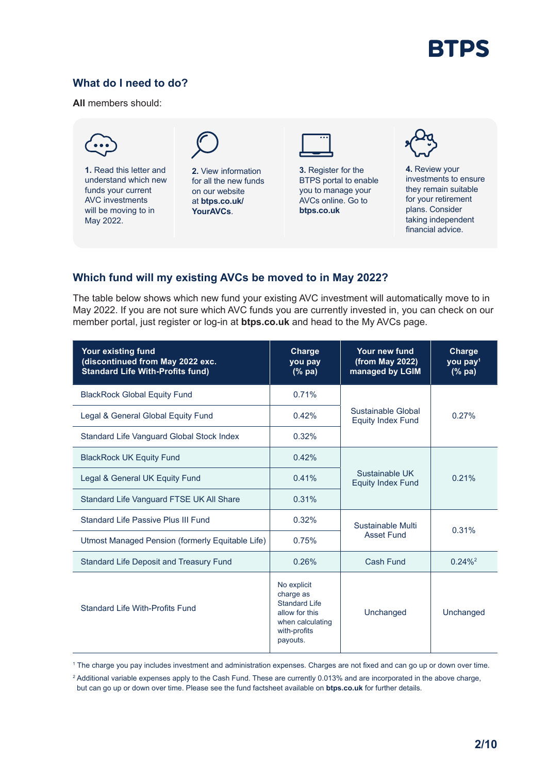

# **What do I need to do?**

**All** members should:



# **Which fund will my existing AVCs be moved to in May 2022?**

The table below shows which new fund your existing AVC investment will automatically move to in May 2022. If you are not sure which AVC funds you are currently invested in, you can check on our member portal, just register or log-in at **btps.co.uk** and head to the My AVCs page.

| Your existing fund<br>(discontinued from May 2022 exc.<br><b>Standard Life With-Profits fund)</b> | <b>Charge</b><br>you pay<br>$(%$ $\mathbf{p}$ $)$ $\mathbf{p}$ $\mathbf{a}$ $)$                                    | Your new fund<br>(from May 2022)<br>managed by LGIM | Charge<br>you pay <sup>1</sup><br>$(%$ (% pa) |
|---------------------------------------------------------------------------------------------------|--------------------------------------------------------------------------------------------------------------------|-----------------------------------------------------|-----------------------------------------------|
| <b>BlackRock Global Equity Fund</b>                                                               | 0.71%                                                                                                              | Sustainable Global<br><b>Equity Index Fund</b>      | 0.27%                                         |
| Legal & General Global Equity Fund                                                                | 0.42%                                                                                                              |                                                     |                                               |
| Standard Life Vanguard Global Stock Index                                                         | 0.32%                                                                                                              |                                                     |                                               |
| <b>BlackRock UK Equity Fund</b>                                                                   | 0.42%                                                                                                              | Sustainable UK<br><b>Equity Index Fund</b>          | 0.21%                                         |
| Legal & General UK Equity Fund                                                                    | 0.41%                                                                                                              |                                                     |                                               |
| Standard Life Vanguard FTSE UK All Share                                                          | 0.31%                                                                                                              |                                                     |                                               |
| Standard Life Passive Plus III Fund                                                               | 0.32%                                                                                                              | Sustainable Multi<br><b>Asset Fund</b>              | 0.31%                                         |
| Utmost Managed Pension (formerly Equitable Life)                                                  | 0.75%                                                                                                              |                                                     |                                               |
| <b>Standard Life Deposit and Treasury Fund</b>                                                    | 0.26%                                                                                                              | Cash Fund                                           | $0.24\%$ <sup>2</sup>                         |
| Standard Life With-Profits Fund                                                                   | No explicit<br>charge as<br><b>Standard Life</b><br>allow for this<br>when calculating<br>with-profits<br>payouts. | Unchanged                                           | Unchanged                                     |

1 The charge you pay includes investment and administration expenses. Charges are not fixed and can go up or down over time.

<sup>2</sup> Additional variable expenses apply to the Cash Fund. These are currently 0.013% and are incorporated in the above charge, but can go up or down over time. Please see the fund factsheet available on **btps.co.uk** for further details.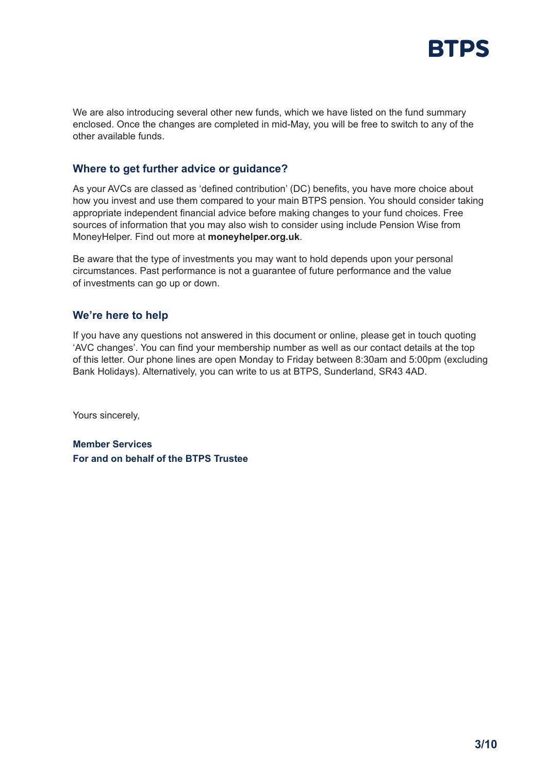

We are also introducing several other new funds, which we have listed on the fund summary enclosed. Once the changes are completed in mid-May, you will be free to switch to any of the other available funds.

#### **Where to get further advice or guidance?**

As your AVCs are classed as 'defined contribution' (DC) benefits, you have more choice about how you invest and use them compared to your main BTPS pension. You should consider taking appropriate independent financial advice before making changes to your fund choices. Free sources of information that you may also wish to consider using include Pension Wise from MoneyHelper. Find out more at **moneyhelper.org.uk**.

Be aware that the type of investments you may want to hold depends upon your personal circumstances. Past performance is not a guarantee of future performance and the value of investments can go up or down.

#### **We're here to help**

If you have any questions not answered in this document or online, please get in touch quoting 'AVC changes'. You can find your membership number as well as our contact details at the top of this letter. Our phone lines are open Monday to Friday between 8:30am and 5:00pm (excluding Bank Holidays). Alternatively, you can write to us at BTPS, Sunderland, SR43 4AD.

Yours sincerely,

**Member Services For and on behalf of the BTPS Trustee**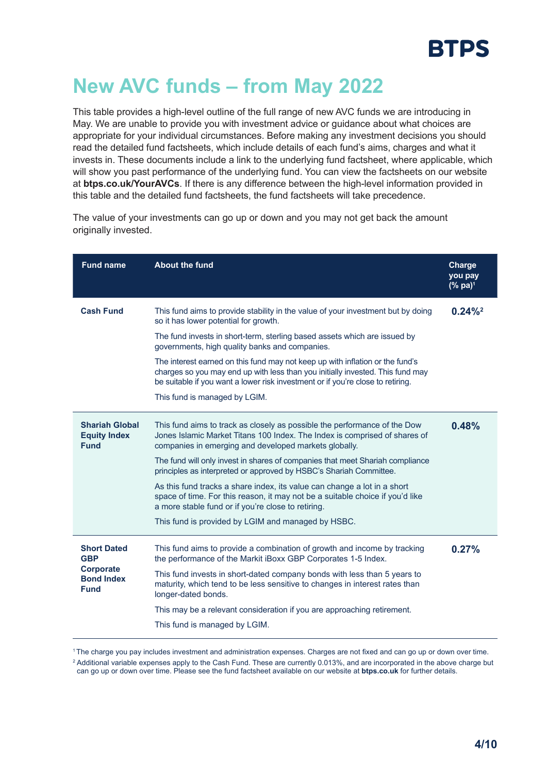# **New AVC funds – from May 2022**

This table provides a high-level outline of the full range of new AVC funds we are introducing in May. We are unable to provide you with investment advice or guidance about what choices are appropriate for your individual circumstances. Before making any investment decisions you should read the detailed fund factsheets, which include details of each fund's aims, charges and what it invests in. These documents include a link to the underlying fund factsheet, where applicable, which will show you past performance of the underlying fund. You can view the factsheets on our website at **btps.co.uk/YourAVCs**. If there is any difference between the high-level information provided in this table and the detailed fund factsheets, the fund factsheets will take precedence.

The value of your investments can go up or down and you may not get back the amount originally invested.

| <b>Fund name</b>                                            | <b>About the fund</b>                                                                                                                                                                                                                              | Charge<br>you pay<br>$(% \mathbf{a})^1$ |
|-------------------------------------------------------------|----------------------------------------------------------------------------------------------------------------------------------------------------------------------------------------------------------------------------------------------------|-----------------------------------------|
| <b>Cash Fund</b>                                            | This fund aims to provide stability in the value of your investment but by doing<br>so it has lower potential for growth.                                                                                                                          | $0.24\%$ <sup>2</sup>                   |
|                                                             | The fund invests in short-term, sterling based assets which are issued by<br>governments, high quality banks and companies.                                                                                                                        |                                         |
|                                                             | The interest earned on this fund may not keep up with inflation or the fund's<br>charges so you may end up with less than you initially invested. This fund may<br>be suitable if you want a lower risk investment or if you're close to retiring. |                                         |
|                                                             | This fund is managed by LGIM.                                                                                                                                                                                                                      |                                         |
| <b>Shariah Global</b><br><b>Equity Index</b><br><b>Fund</b> | This fund aims to track as closely as possible the performance of the Dow<br>Jones Islamic Market Titans 100 Index. The Index is comprised of shares of<br>companies in emerging and developed markets globally.                                   | 0.48%                                   |
|                                                             | The fund will only invest in shares of companies that meet Shariah compliance<br>principles as interpreted or approved by HSBC's Shariah Committee.                                                                                                |                                         |
|                                                             | As this fund tracks a share index, its value can change a lot in a short<br>space of time. For this reason, it may not be a suitable choice if you'd like<br>a more stable fund or if you're close to retiring.                                    |                                         |
|                                                             | This fund is provided by LGIM and managed by HSBC.                                                                                                                                                                                                 |                                         |
| <b>Short Dated</b><br><b>GBP</b>                            | This fund aims to provide a combination of growth and income by tracking<br>the performance of the Markit iBoxx GBP Corporates 1-5 Index.                                                                                                          | 0.27%                                   |
| Corporate<br><b>Bond Index</b><br><b>Fund</b>               | This fund invests in short-dated company bonds with less than 5 years to<br>maturity, which tend to be less sensitive to changes in interest rates than<br>longer-dated bonds.                                                                     |                                         |
|                                                             | This may be a relevant consideration if you are approaching retirement.                                                                                                                                                                            |                                         |
|                                                             | This fund is managed by LGIM.                                                                                                                                                                                                                      |                                         |

<sup>1</sup>The charge you pay includes investment and administration expenses. Charges are not fixed and can go up or down over time.

<sup>2</sup> Additional variable expenses apply to the Cash Fund. These are currently 0.013%, and are incorporated in the above charge but can go up or down over time. Please see the fund factsheet available on our website at **btps.co.uk** for further details.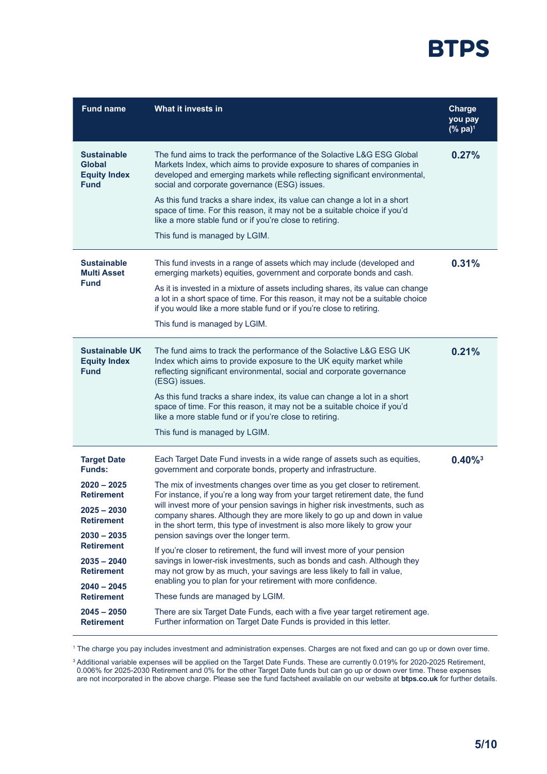

| What it invests in                                                                                                                                                                                                                                                                                                                                                                                                                                                                                                                                                                                                                                                                                                                                                                                                                                                                                                                                                                                                     | Charge<br>you pay<br>$(%$ pa $)^1$                                   |
|------------------------------------------------------------------------------------------------------------------------------------------------------------------------------------------------------------------------------------------------------------------------------------------------------------------------------------------------------------------------------------------------------------------------------------------------------------------------------------------------------------------------------------------------------------------------------------------------------------------------------------------------------------------------------------------------------------------------------------------------------------------------------------------------------------------------------------------------------------------------------------------------------------------------------------------------------------------------------------------------------------------------|----------------------------------------------------------------------|
| The fund aims to track the performance of the Solactive L&G ESG Global<br>Markets Index, which aims to provide exposure to shares of companies in<br>developed and emerging markets while reflecting significant environmental,<br>social and corporate governance (ESG) issues.<br>As this fund tracks a share index, its value can change a lot in a short<br>space of time. For this reason, it may not be a suitable choice if you'd<br>like a more stable fund or if you're close to retiring.<br>This fund is managed by LGIM.                                                                                                                                                                                                                                                                                                                                                                                                                                                                                   | 0.27%                                                                |
| This fund invests in a range of assets which may include (developed and<br>emerging markets) equities, government and corporate bonds and cash.<br>As it is invested in a mixture of assets including shares, its value can change<br>a lot in a short space of time. For this reason, it may not be a suitable choice<br>if you would like a more stable fund or if you're close to retiring.<br>This fund is managed by LGIM.                                                                                                                                                                                                                                                                                                                                                                                                                                                                                                                                                                                        | 0.31%                                                                |
| The fund aims to track the performance of the Solactive L&G ESG UK<br>Index which aims to provide exposure to the UK equity market while<br>reflecting significant environmental, social and corporate governance<br>(ESG) issues.<br>As this fund tracks a share index, its value can change a lot in a short<br>space of time. For this reason, it may not be a suitable choice if you'd<br>like a more stable fund or if you're close to retiring.<br>This fund is managed by LGIM.                                                                                                                                                                                                                                                                                                                                                                                                                                                                                                                                 | 0.21%                                                                |
| Each Target Date Fund invests in a wide range of assets such as equities,<br>government and corporate bonds, property and infrastructure.<br>The mix of investments changes over time as you get closer to retirement.<br>For instance, if you're a long way from your target retirement date, the fund<br>will invest more of your pension savings in higher risk investments, such as<br>company shares. Although they are more likely to go up and down in value<br>in the short term, this type of investment is also more likely to grow your<br>pension savings over the longer term.<br>If you're closer to retirement, the fund will invest more of your pension<br>savings in lower-risk investments, such as bonds and cash. Although they<br>may not grow by as much, your savings are less likely to fall in value,<br>enabling you to plan for your retirement with more confidence.<br>These funds are managed by LGIM.<br>There are six Target Date Funds, each with a five year target retirement age. | $0.40\%$ <sup>3</sup>                                                |
|                                                                                                                                                                                                                                                                                                                                                                                                                                                                                                                                                                                                                                                                                                                                                                                                                                                                                                                                                                                                                        | Further information on Target Date Funds is provided in this letter. |

1 The charge you pay includes investment and administration expenses. Charges are not fixed and can go up or down over time.

<sup>3</sup> Additional variable expenses will be applied on the Target Date Funds. These are currently 0.019% for 2020-2025 Retirement, 0.006% for 2025-2030 Retirement and 0% for the other Target Date funds but can go up or down over time. These expenses are not incorporated in the above charge. Please see the fund factsheet available on our website at **btps.co.uk** for further details.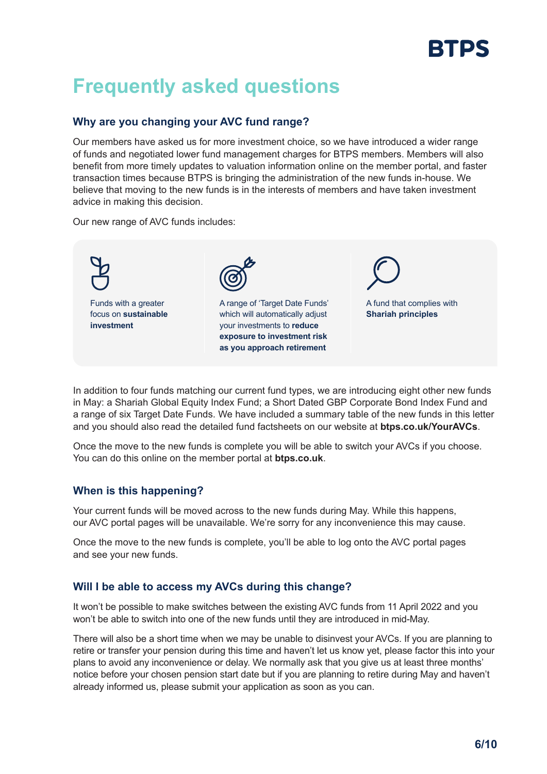# RTDS

# **Frequently asked questions**

# **Why are you changing your AVC fund range?**

Our members have asked us for more investment choice, so we have introduced a wider range of funds and negotiated lower fund management charges for BTPS members. Members will also benefit from more timely updates to valuation information online on the member portal, and faster transaction times because BTPS is bringing the administration of the new funds in-house. We believe that moving to the new funds is in the interests of members and have taken investment advice in making this decision.

Our new range of AVC funds includes:



In addition to four funds matching our current fund types, we are introducing eight other new funds in May: a Shariah Global Equity Index Fund; a Short Dated GBP Corporate Bond Index Fund and a range of six Target Date Funds. We have included a summary table of the new funds in this letter and you should also read the detailed fund factsheets on our website at **btps.co.uk/YourAVCs**.

Once the move to the new funds is complete you will be able to switch your AVCs if you choose. You can do this online on the member portal at **btps.co.uk**.

# **When is this happening?**

Your current funds will be moved across to the new funds during May. While this happens, our AVC portal pages will be unavailable. We're sorry for any inconvenience this may cause.

Once the move to the new funds is complete, you'll be able to log onto the AVC portal pages and see your new funds.

# **Will I be able to access my AVCs during this change?**

It won't be possible to make switches between the existing AVC funds from 11 April 2022 and you won't be able to switch into one of the new funds until they are introduced in mid-May.

There will also be a short time when we may be unable to disinvest your AVCs. If you are planning to retire or transfer your pension during this time and haven't let us know yet, please factor this into your plans to avoid any inconvenience or delay. We normally ask that you give us at least three months' notice before your chosen pension start date but if you are planning to retire during May and haven't already informed us, please submit your application as soon as you can.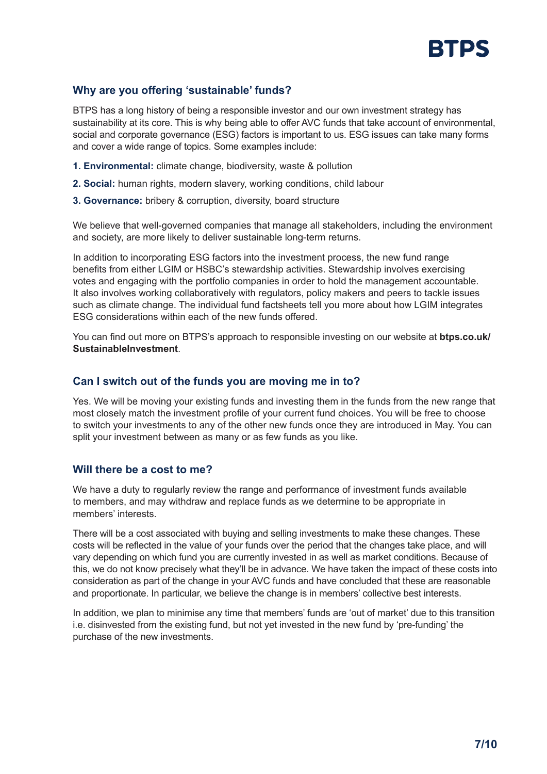

# **Why are you offering 'sustainable' funds?**

BTPS has a long history of being a responsible investor and our own investment strategy has sustainability at its core. This is why being able to offer AVC funds that take account of environmental, social and corporate governance (ESG) factors is important to us. ESG issues can take many forms and cover a wide range of topics. Some examples include:

- **1. Environmental:** climate change, biodiversity, waste & pollution
- **2. Social:** human rights, modern slavery, working conditions, child labour
- **3. Governance:** bribery & corruption, diversity, board structure

We believe that well-governed companies that manage all stakeholders, including the environment and society, are more likely to deliver sustainable long-term returns.

In addition to incorporating ESG factors into the investment process, the new fund range benefits from either LGIM or HSBC's stewardship activities. Stewardship involves exercising votes and engaging with the portfolio companies in order to hold the management accountable. It also involves working collaboratively with regulators, policy makers and peers to tackle issues such as climate change. The individual fund factsheets tell you more about how LGIM integrates ESG considerations within each of the new funds offered.

You can find out more on BTPS's approach to responsible investing on our website at **btps.co.uk/ SustainableInvestment**.

#### **Can I switch out of the funds you are moving me in to?**

Yes. We will be moving your existing funds and investing them in the funds from the new range that most closely match the investment profile of your current fund choices. You will be free to choose to switch your investments to any of the other new funds once they are introduced in May. You can split your investment between as many or as few funds as you like.

#### **Will there be a cost to me?**

We have a duty to regularly review the range and performance of investment funds available to members, and may withdraw and replace funds as we determine to be appropriate in members' interests.

There will be a cost associated with buying and selling investments to make these changes. These costs will be reflected in the value of your funds over the period that the changes take place, and will vary depending on which fund you are currently invested in as well as market conditions. Because of this, we do not know precisely what they'll be in advance. We have taken the impact of these costs into consideration as part of the change in your AVC funds and have concluded that these are reasonable and proportionate. In particular, we believe the change is in members' collective best interests.

In addition, we plan to minimise any time that members' funds are 'out of market' due to this transition i.e. disinvested from the existing fund, but not yet invested in the new fund by 'pre-funding' the purchase of the new investments.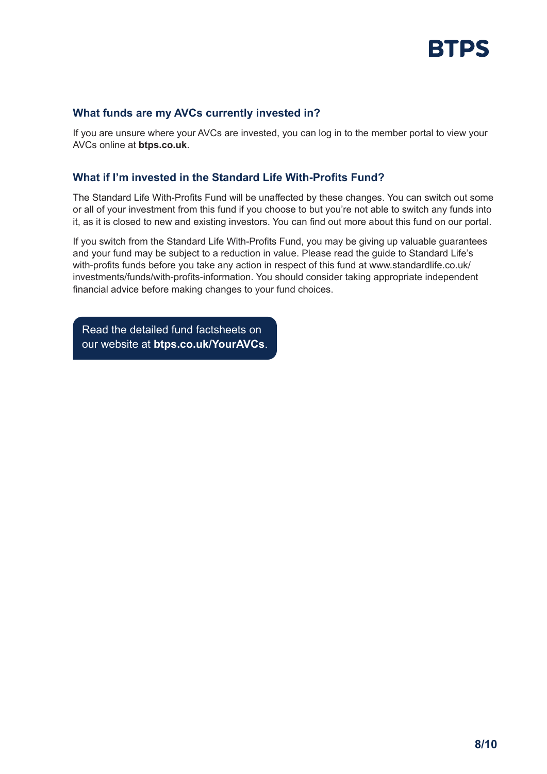

#### **What funds are my AVCs currently invested in?**

If you are unsure where your AVCs are invested, you can log in to the member portal to view your AVCs online at **btps.co.uk**.

### **What if I'm invested in the Standard Life With-Profits Fund?**

The Standard Life With-Profits Fund will be unaffected by these changes. You can switch out some or all of your investment from this fund if you choose to but you're not able to switch any funds into it, as it is closed to new and existing investors. You can find out more about this fund on our portal.

If you switch from the Standard Life With-Profits Fund, you may be giving up valuable guarantees and your fund may be subject to a reduction in value. Please read the guide to Standard Life's with-profits funds before you take any action in respect of this fund at www.standardlife.co.uk/ investments/funds/with-profits-information. You should consider taking appropriate independent financial advice before making changes to your fund choices.

Read the detailed fund factsheets on our website at **btps.co.uk/YourAVCs**.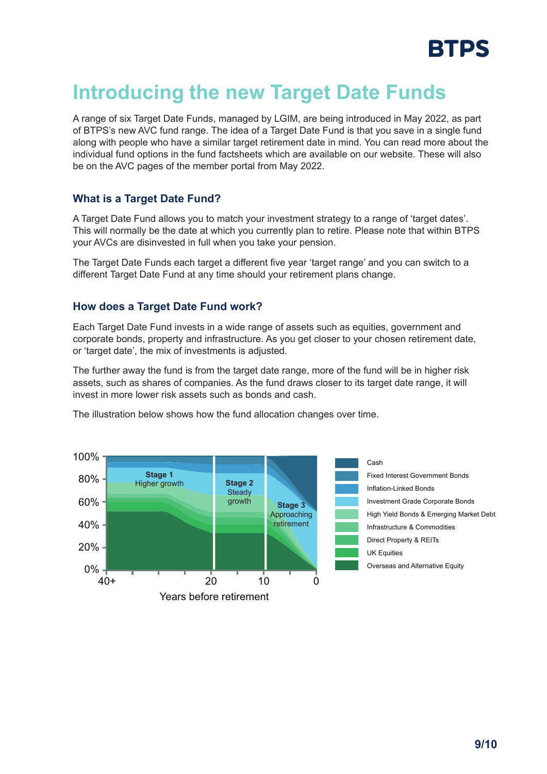

# **Introducing the new Target Date Funds**

A range of six Target Date Funds, managed by LGIM, are being introduced in May 2022, as part of BTPS's new AVC fund range. The idea of a Target Date Fund is that you save in a single fund along with people who have a similar target retirement date in mind. You can read more about the individual fund options in the fund factsheets which are available on our website. These will also be on the AVC pages of the member portal from May 2022.

#### **What is a Target Date Fund?**

A Target Date Fund allows you to match your investment strategy to a range of 'target dates'. This will normally be the date at which you currently plan to retire. Please note that within BTPS your AVCs are disinvested in full when you take your pension.

The Target Date Funds each target a different five year 'target range' and you can switch to a different Target Date Fund at any time should your retirement plans change.

#### **How does a Target Date Fund work?**

Each Target Date Fund invests in a wide range of assets such as equities, government and corporate bonds, property and infrastructure. As you get closer to your chosen retirement date, or 'target date', the mix of investments is adjusted.

The further away the fund is from the target date range, more of the fund will be in higher risk assets, such as shares of companies. As the fund draws closer to its target date range, it will invest in more lower risk assets such as bonds and cash.

The illustration below shows how the fund allocation changes over time.